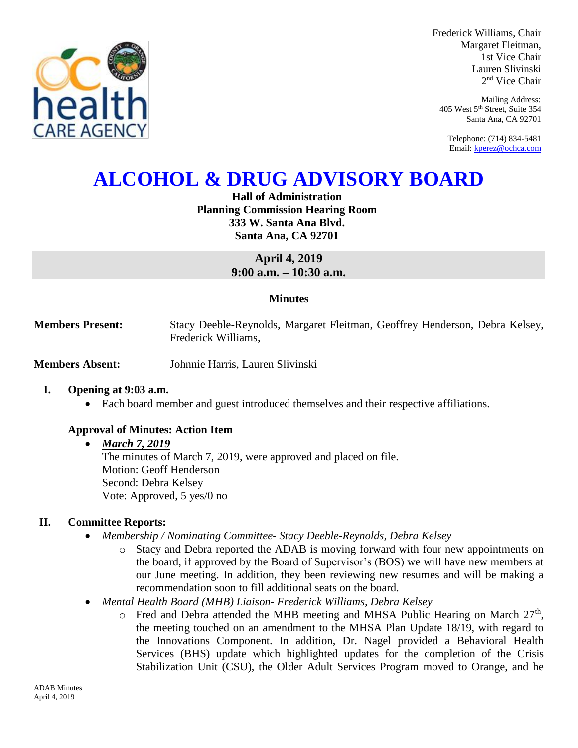

Frederick Williams, Chair Margaret Fleitman, 1st Vice Chair Lauren Slivinski 2 nd Vice Chair

Mailing Address: 405 West 5th Street, Suite 354 Santa Ana, CA 92701

Telephone: (714) 834-5481 Email[: kperez@ochca.com](mailto:kperez@ochca.com)

# **ALCOHOL & DRUG ADVISORY BOARD**

**Hall of Administration Planning Commission Hearing Room 333 W. Santa Ana Blvd. Santa Ana, CA 92701**

> **April 4, 2019 9:00 a.m. – 10:30 a.m.**

#### **Minutes**

**Members Present:** Stacy Deeble-Reynolds, Margaret Fleitman, Geoffrey Henderson, Debra Kelsey, Frederick Williams,

**Members Absent:** Johnnie Harris, Lauren Slivinski

#### **I. Opening at 9:03 a.m.**

Each board member and guest introduced themselves and their respective affiliations.

#### **Approval of Minutes: Action Item**

#### *March 7, 2019*

The minutes of March 7, 2019, were approved and placed on file. Motion: Geoff Henderson Second: Debra Kelsey Vote: Approved, 5 yes/0 no

#### **II. Committee Reports:**

- *Membership / Nominating Committee- Stacy Deeble-Reynolds, Debra Kelsey* 
	- o Stacy and Debra reported the ADAB is moving forward with four new appointments on the board, if approved by the Board of Supervisor's (BOS) we will have new members at our June meeting. In addition, they been reviewing new resumes and will be making a recommendation soon to fill additional seats on the board.
- *Mental Health Board (MHB) Liaison- Frederick Williams, Debra Kelsey* 
	- $\circ$  Fred and Debra attended the MHB meeting and MHSA Public Hearing on March  $27<sup>th</sup>$ , the meeting touched on an amendment to the MHSA Plan Update 18/19, with regard to the Innovations Component. In addition, Dr. Nagel provided a Behavioral Health Services (BHS) update which highlighted updates for the completion of the Crisis Stabilization Unit (CSU), the Older Adult Services Program moved to Orange, and he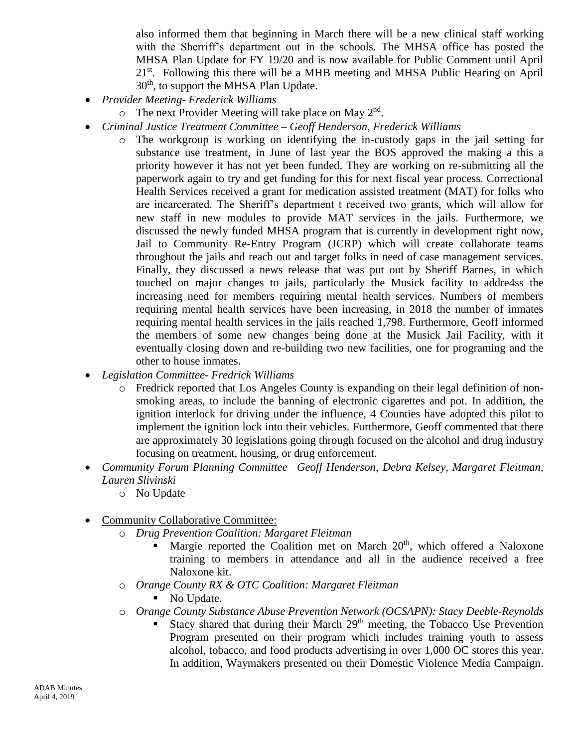also informed them that beginning in March there will be a new clinical staff working with the Sherriff's department out in the schools. The MHSA office has posted the MHSA Plan Update for FY 19/20 and is now available for Public Comment until April 21<sup>st</sup>. Following this there will be a MHB meeting and MHSA Public Hearing on April  $30<sup>th</sup>$ , to support the MHSA Plan Update.

- *Provider Meeting- Frederick Williams*
	- $\circ$  The next Provider Meeting will take place on May 2<sup>nd</sup>.
- *Criminal Justice Treatment Committee – Geoff Henderson, Frederick Williams*
	- o The workgroup is working on identifying the in-custody gaps in the jail setting for substance use treatment, in June of last year the BOS approved the making a this a priority however it has not yet been funded. They are working on re-submitting all the paperwork again to try and get funding for this for next fiscal year process. Correctional Health Services received a grant for medication assisted treatment (MAT) for folks who are incarcerated. The Sheriff's department t received two grants, which will allow for new staff in new modules to provide MAT services in the jails. Furthermore, we discussed the newly funded MHSA program that is currently in development right now, Jail to Community Re-Entry Program (JCRP) which will create collaborate teams throughout the jails and reach out and target folks in need of case management services. Finally, they discussed a news release that was put out by Sheriff Barnes, in which touched on major changes to jails, particularly the Musick facility to addre4ss the increasing need for members requiring mental health services. Numbers of members requiring mental health services have been increasing, in 2018 the number of inmates requiring mental health services in the jails reached 1,798. Furthermore, Geoff informed the members of some new changes being done at the Musick Jail Facility, with it eventually closing down and re-building two new facilities, one for programing and the other to house inmates.
- *Legislation Committee- Fredrick Williams*
	- o Fredrick reported that Los Angeles County is expanding on their legal definition of nonsmoking areas, to include the banning of electronic cigarettes and pot. In addition, the ignition interlock for driving under the influence, 4 Counties have adopted this pilot to implement the ignition lock into their vehicles. Furthermore, Geoff commented that there are approximately 30 legislations going through focused on the alcohol and drug industry focusing on treatment, housing, or drug enforcement.
- *Community Forum Planning Committee– Geoff Henderson, Debra Kelsey, Margaret Fleitman, Lauren Slivinski*
	- o No Update
- Community Collaborative Committee:
	- o *Drug Prevention Coalition: Margaret Fleitman*
		- Margie reported the Coalition met on March  $20<sup>th</sup>$ , which offered a Naloxone training to members in attendance and all in the audience received a free Naloxone kit.
	- o *Orange County RX & OTC Coalition: Margaret Fleitman*
		- No Update.
	- o *Orange County Substance Abuse Prevention Network (OCSAPN): Stacy Deeble-Reynolds*
		- Stacy shared that during their March  $29<sup>th</sup>$  meeting, the Tobacco Use Prevention Program presented on their program which includes training youth to assess alcohol, tobacco, and food products advertising in over 1,000 OC stores this year. In addition, Waymakers presented on their Domestic Violence Media Campaign.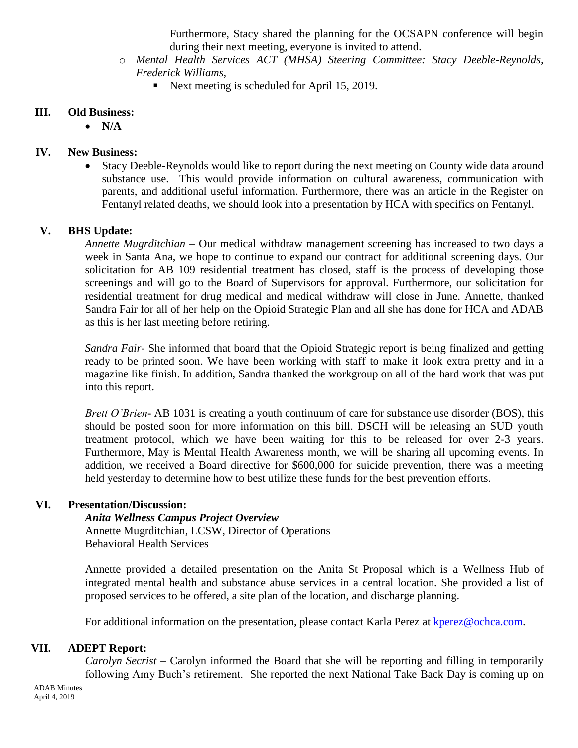Furthermore, Stacy shared the planning for the OCSAPN conference will begin during their next meeting, everyone is invited to attend.

- o *Mental Health Services ACT (MHSA) Steering Committee: Stacy Deeble-Reynolds, Frederick Williams,* 
	- Next meeting is scheduled for April 15, 2019.

## **III. Old Business:**

 $\bullet$  N/A

# **IV. New Business:**

 Stacy Deeble-Reynolds would like to report during the next meeting on County wide data around substance use. This would provide information on cultural awareness, communication with parents, and additional useful information. Furthermore, there was an article in the Register on Fentanyl related deaths, we should look into a presentation by HCA with specifics on Fentanyl.

# **V. BHS Update:**

*Annette Mugrditchian –* Our medical withdraw management screening has increased to two days a week in Santa Ana, we hope to continue to expand our contract for additional screening days. Our solicitation for AB 109 residential treatment has closed, staff is the process of developing those screenings and will go to the Board of Supervisors for approval. Furthermore, our solicitation for residential treatment for drug medical and medical withdraw will close in June. Annette, thanked Sandra Fair for all of her help on the Opioid Strategic Plan and all she has done for HCA and ADAB as this is her last meeting before retiring.

*Sandra Fair-* She informed that board that the Opioid Strategic report is being finalized and getting ready to be printed soon. We have been working with staff to make it look extra pretty and in a magazine like finish. In addition, Sandra thanked the workgroup on all of the hard work that was put into this report.

*Brett O'Brien***-** AB 1031 is creating a youth continuum of care for substance use disorder (BOS), this should be posted soon for more information on this bill. DSCH will be releasing an SUD youth treatment protocol, which we have been waiting for this to be released for over 2-3 years. Furthermore, May is Mental Health Awareness month, we will be sharing all upcoming events. In addition, we received a Board directive for \$600,000 for suicide prevention, there was a meeting held yesterday to determine how to best utilize these funds for the best prevention efforts.

## **VI. Presentation/Discussion:**

## *Anita Wellness Campus Project Overview*

 Annette Mugrditchian, LCSW, Director of Operations Behavioral Health Services

Annette provided a detailed presentation on the Anita St Proposal which is a Wellness Hub of integrated mental health and substance abuse services in a central location. She provided a list of proposed services to be offered, a site plan of the location, and discharge planning.

For additional information on the presentation, please contact Karla Perez at [kperez@ochca.com.](mailto:kperez@ochca.com)

## **VII. ADEPT Report:**

*Carolyn Secrist –* Carolyn informed the Board that she will be reporting and filling in temporarily following Amy Buch's retirement. She reported the next National Take Back Day is coming up on